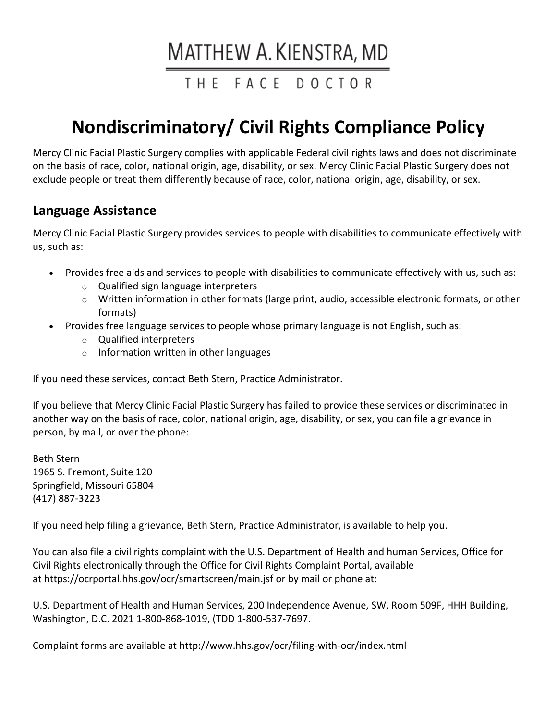# MATTHEW A. KIENSTRA, MD

# THE FACE DOCTOR

# **Nondiscriminatory/ Civil Rights Compliance Policy**

Mercy Clinic Facial Plastic Surgery complies with applicable Federal civil rights laws and does not discriminate on the basis of race, color, national origin, age, disability, or sex. Mercy Clinic Facial Plastic Surgery does not exclude people or treat them differently because of race, color, national origin, age, disability, or sex.

#### **Language Assistance**

Mercy Clinic Facial Plastic Surgery provides services to people with disabilities to communicate effectively with us, such as:

- Provides free aids and services to people with disabilities to communicate effectively with us, such as:
	- o Qualified sign language interpreters
	- $\circ$  Written information in other formats (large print, audio, accessible electronic formats, or other formats)
- Provides free language services to people whose primary language is not English, such as:
	- o Qualified interpreters
	- o Information written in other languages

If you need these services, contact Beth Stern, Practice Administrator.

If you believe that Mercy Clinic Facial Plastic Surgery has failed to provide these services or discriminated in another way on the basis of race, color, national origin, age, disability, or sex, you can file a grievance in person, by mail, or over the phone:

Beth Stern 1965 S. Fremont, Suite 120 Springfield, Missouri 65804 (417) 887-3223

If you need help filing a grievance, Beth Stern, Practice Administrator, is available to help you.

You can also file a civil rights complaint with the U.S. Department of Health and human Services, Office for Civil Rights electronically through the Office for Civil Rights Complaint Portal, available at <https://ocrportal.hhs.gov/ocr/smartscreen/main.jsf> or by mail or phone at:

U.S. Department of Health and Human Services, 200 Independence Avenue, SW, Room 509F, HHH Building, Washington, D.C. 2021 1-800-868-1019, (TDD 1-800-537-7697.

Complaint forms are available at <http://www.hhs.gov/ocr/filing-with-ocr/index.html>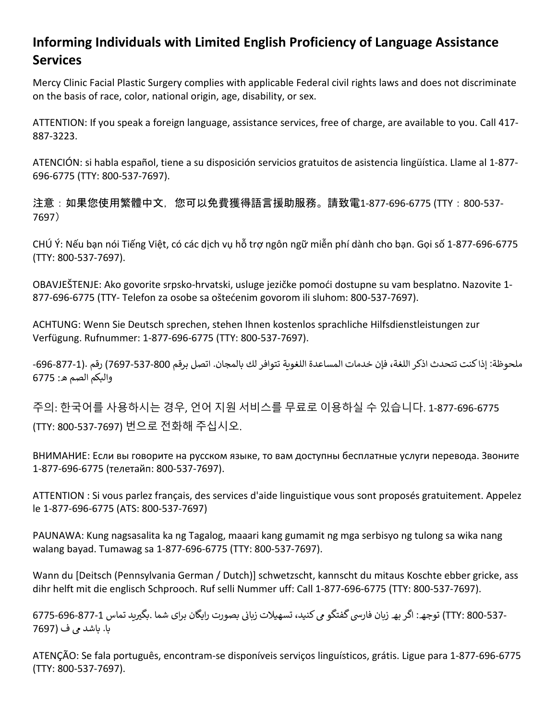# **Informing Individuals with Limited English Proficiency of Language Assistance Services**

Mercy Clinic Facial Plastic Surgery complies with applicable Federal civil rights laws and does not discriminate on the basis of race, color, national origin, age, disability, or sex.

ATTENTION: If you speak a foreign language, assistance services, free of charge, are available to you. Call 417- 887-3223.

ATENCIÓN: si habla español, tiene a su disposición servicios gratuitos de asistencia lingüística. Llame al 1-877- 696-6775 (TTY: 800-537-7697).

注意:如果您使用繁體中文,您可以免費獲得語言援助服務。請致電1-877-696-6775 (TTY:800-537- 7697)

CHÚ Ý: Nếu bạn nói Tiếng Việt, có các dịch vụ hỗ trợ ngôn ngữ miễn phí dành cho bạn. Gọi số 1-877-696-6775 (TTY: 800-537-7697).

OBAVJEŠTENJE: Ako govorite srpsko-hrvatski, usluge jezičke pomoći dostupne su vam besplatno. Nazovite 1- 877-696-6775 (TTY- Telefon za osobe sa oštećenim govorom ili sluhom: 800-537-7697).

ACHTUNG: Wenn Sie Deutsch sprechen, stehen Ihnen kostenlos sprachliche Hilfsdienstleistungen zur Verfügung. Rufnummer: 1-877-696-6775 (TTY: 800-537-7697).

ملحوظة: إذا كنت تتحدث اذكر اللغة، فإن خدمات المساعدة اللغوية تتوافر لك بالمجان. اتصل برقم 800-537-7697) رقم .(1-877-696-والبكم الصم ھ: 6775

주의: 한국어를 사용하시는 경우, 언어 지원 서비스를 무료로 이용하실 수 있습니다. 1-877-696-6775 (TTY: 800-537-7697) 번으로 전화해 주십시오.

ВНИМАНИЕ: Если вы говорите на русском языке, то вам доступны бесплатные услуги перевода. Звоните 1-877-696-6775 (телетайп: 800-537-7697).

ATTENTION : Si vous parlez français, des services d'aide linguistique vous sont proposés gratuitement. Appelez le 1-877-696-6775 (ATS: 800-537-7697)

PAUNAWA: Kung nagsasalita ka ng Tagalog, maaari kang gumamit ng mga serbisyo ng tulong sa wika nang walang bayad. Tumawag sa 1-877-696-6775 (TTY: 800-537-7697).

Wann du [Deitsch (Pennsylvania German / Dutch)] schwetzscht, kannscht du mitaus Koschte ebber gricke, ass dihr helft mit die englisch Schprooch. Ruf selli Nummer uff: Call 1-877-696-6775 (TTY: 800-537-7697).

-337- TTY) 300) توجھ: اگر بھ زبان فارسی گفتگو می کنید، تسھیلات زبانی بصورت رایگان برای شما .بگیرید تماس 1-877-696-6775 با. باشد � ف (7697

ATENÇÃO: Se fala português, encontram-se disponíveis serviços linguísticos, grátis. Ligue para 1-877-696-6775 (TTY: 800-537-7697).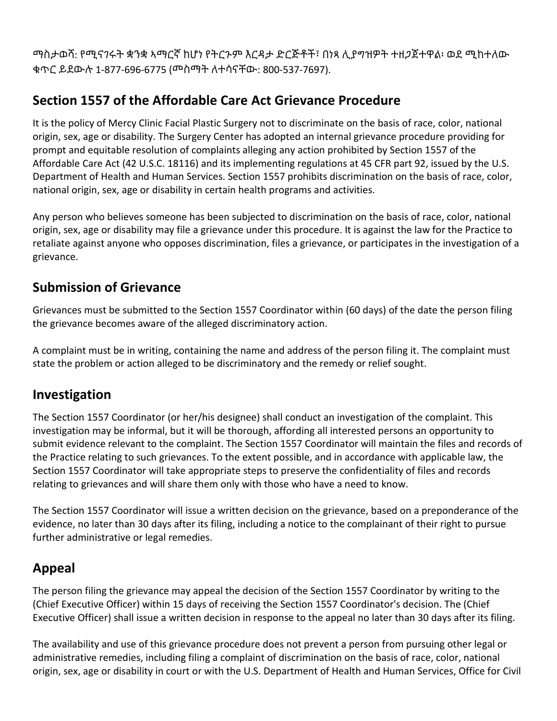ማስታወሻ: የሚናገሩት ቋንቋ ኣማርኛ ከሆነ የትርጉም እርዳታ ድርጅቶች፣ በነጻ ሊያግዝዎት ተዘጋጀተዋል፡ ወደ ሚከተለው ቁጥር ይደውሉ 1-877-696-6775 (መስማት ለተሳናቸው: 800-537-7697).

# **Section 1557 of the Affordable Care Act Grievance Procedure**

It is the policy of Mercy Clinic Facial Plastic Surgery not to discriminate on the basis of race, color, national origin, sex, age or disability. The Surgery Center has adopted an internal grievance procedure providing for prompt and equitable resolution of complaints alleging any action prohibited by Section 1557 of the Affordable Care Act (42 U.S.C. 18116) and its implementing regulations at 45 CFR part 92, issued by the U.S. Department of Health and Human Services. Section 1557 prohibits discrimination on the basis of race, color, national origin, sex, age or disability in certain health programs and activities.

Any person who believes someone has been subjected to discrimination on the basis of race, color, national origin, sex, age or disability may file a grievance under this procedure. It is against the law for the Practice to retaliate against anyone who opposes discrimination, files a grievance, or participates in the investigation of a grievance.

#### **Submission of Grievance**

Grievances must be submitted to the Section 1557 Coordinator within (60 days) of the date the person filing the grievance becomes aware of the alleged discriminatory action.

A complaint must be in writing, containing the name and address of the person filing it. The complaint must state the problem or action alleged to be discriminatory and the remedy or relief sought.

#### **Investigation**

The Section 1557 Coordinator (or her/his designee) shall conduct an investigation of the complaint. This investigation may be informal, but it will be thorough, affording all interested persons an opportunity to submit evidence relevant to the complaint. The Section 1557 Coordinator will maintain the files and records of the Practice relating to such grievances. To the extent possible, and in accordance with applicable law, the Section 1557 Coordinator will take appropriate steps to preserve the confidentiality of files and records relating to grievances and will share them only with those who have a need to know.

The Section 1557 Coordinator will issue a written decision on the grievance, based on a preponderance of the evidence, no later than 30 days after its filing, including a notice to the complainant of their right to pursue further administrative or legal remedies.

## **Appeal**

The person filing the grievance may appeal the decision of the Section 1557 Coordinator by writing to the (Chief Executive Officer) within 15 days of receiving the Section 1557 Coordinator's decision. The (Chief Executive Officer) shall issue a written decision in response to the appeal no later than 30 days after its filing.

The availability and use of this grievance procedure does not prevent a person from pursuing other legal or administrative remedies, including filing a complaint of discrimination on the basis of race, color, national origin, sex, age or disability in court or with the U.S. Department of Health and Human Services, Office for Civil